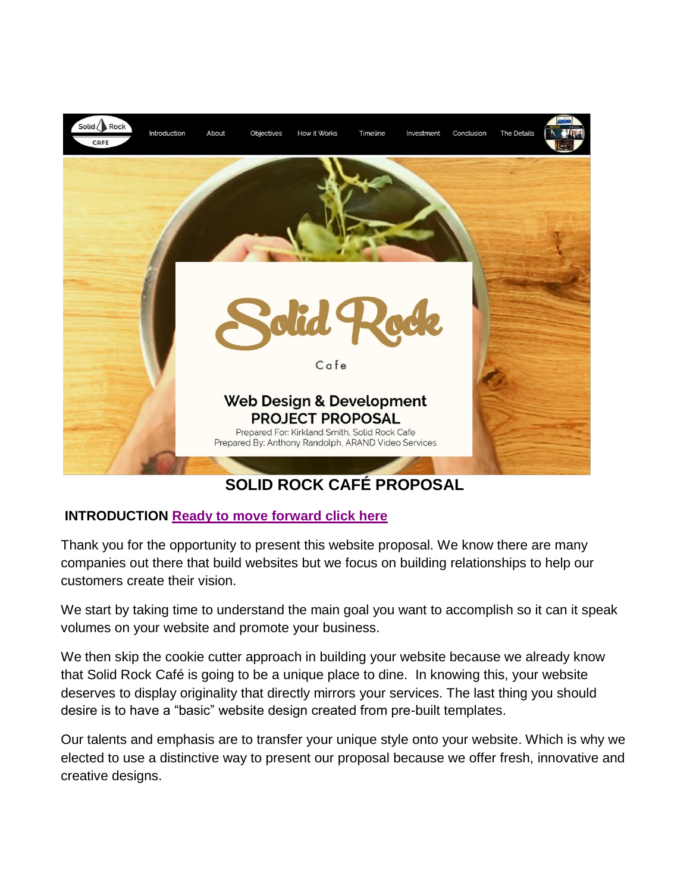

# **SOLID ROCK CAFÉ PROPOSAL**

# **INTRODUCTION [Ready to move forward click here](#page-4-0)**

Thank you for the opportunity to present this website proposal. We know there are many companies out there that build websites but we focus on building relationships to help our customers create their vision.

We start by taking time to understand the main goal you want to accomplish so it can it speak volumes on your website and promote your business.

We then skip the cookie cutter approach in building your website because we already know that Solid Rock Café is going to be a unique place to dine. In knowing this, your website deserves to display originality that directly mirrors your services. The last thing you should desire is to have a "basic" website design created from pre-built templates.

Our talents and emphasis are to transfer your unique style onto your website. Which is why we elected to use a distinctive way to present our proposal because we offer fresh, innovative and creative designs.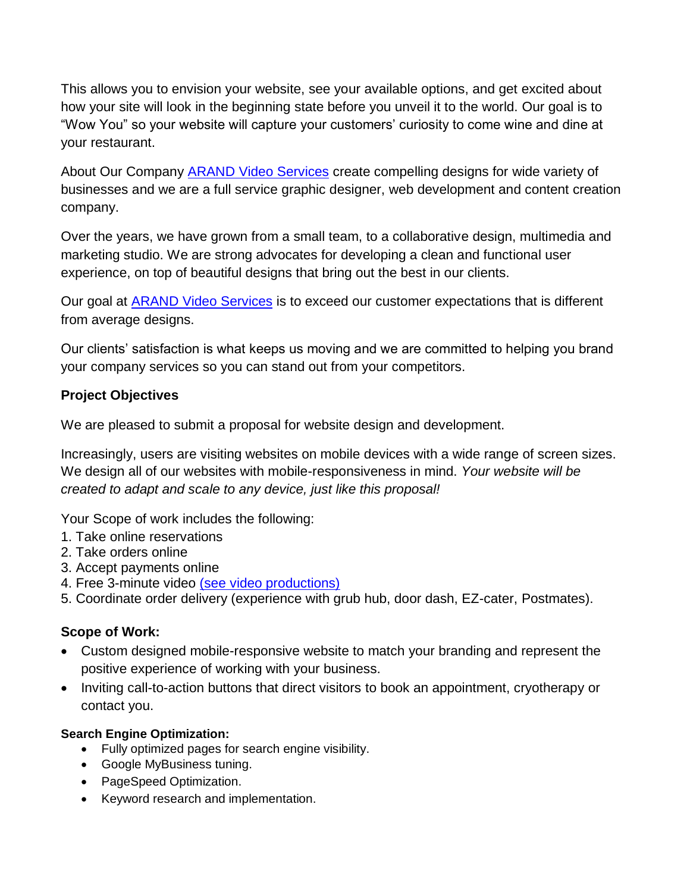This allows you to envision your website, see your available options, and get excited about how your site will look in the beginning state before you unveil it to the world. Our goal is to "Wow You" so your website will capture your customers' curiosity to come wine and dine at your restaurant.

About Our Company **ARAND Video Services** create compelling designs for wide variety of businesses and we are a full service graphic designer, web development and content creation company.

Over the years, we have grown from a small team, to a collaborative design, multimedia and marketing studio. We are strong advocates for developing a clean and functional user experience, on top of beautiful designs that bring out the best in our clients.

Our goal at [ARAND Video Services](http://www.arandvideo.net/) is to exceed our customer expectations that is different from average designs.

Our clients' satisfaction is what keeps us moving and we are committed to helping you brand your company services so you can stand out from your competitors.

## **Project Objectives**

We are pleased to submit a proposal for website design and development.

Increasingly, users are visiting websites on mobile devices with a wide range of screen sizes. We design all of our websites with mobile-responsiveness in mind. *Your website will be created to adapt and scale to any device, just like this proposal!* 

Your Scope of work includes the following:

- 1. Take online reservations
- 2. Take orders online
- 3. Accept payments online
- 4. Free 3-minute video [\(see video productions\)](https://www.arandvideo.net/video-productions)
- 5. Coordinate order delivery (experience with grub hub, door dash, EZ-cater, Postmates).

## **Scope of Work:**

- Custom designed mobile-responsive website to match your branding and represent the positive experience of working with your business.
- Inviting call-to-action buttons that direct visitors to book an appointment, cryotherapy or contact you.

## **Search Engine Optimization:**

- Fully optimized pages for search engine visibility.
- Google MyBusiness tuning.
- PageSpeed Optimization.
- Keyword research and implementation.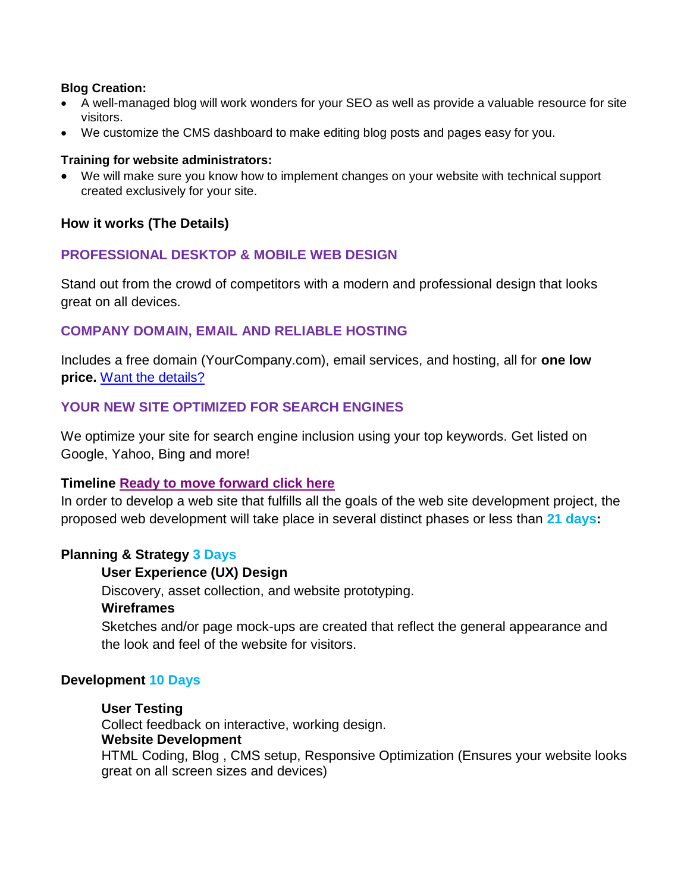#### **Blog Creation:**

- A well-managed blog will work wonders for your SEO as well as provide a valuable resource for site visitors.
- We customize the CMS dashboard to make editing blog posts and pages easy for you.

#### **Training for website administrators:**

 We will make sure you know how to implement changes on your website with technical support created exclusively for your site.

#### **How it works (The Details)**

## **PROFESSIONAL DESKTOP & MOBILE WEB DESIGN**

Stand out from the crowd of competitors with a modern and professional design that looks great on all devices.

## **COMPANY DOMAIN, EMAIL AND RELIABLE HOSTING**

Includes a free domain (YourCompany.com), email services, and hosting, all for **one low price.** [Want the details?](https://www.arandvideo.net/)

## **YOUR NEW SITE OPTIMIZED FOR SEARCH ENGINES**

We optimize your site for search engine inclusion using your top keywords. Get listed on Google, Yahoo, Bing and more!

#### **Timeline [Ready to move forward click here](#page-4-0)**

In order to develop a web site that fulfills all the goals of the web site development project, the proposed web development will take place in several distinct phases or less than **21 days:**

#### **Planning & Strategy 3 Days**

#### **User Experience (UX) Design**

Discovery, asset collection, and website prototyping. **Wireframes**

Sketches and/or page mock-ups are created that reflect the general appearance and the look and feel of the website for visitors.

#### **Development 10 Days**

## **User Testing**

Collect feedback on interactive, working design. **Website Development**  HTML Coding, Blog , CMS setup, Responsive Optimization (Ensures your website looks great on all screen sizes and devices)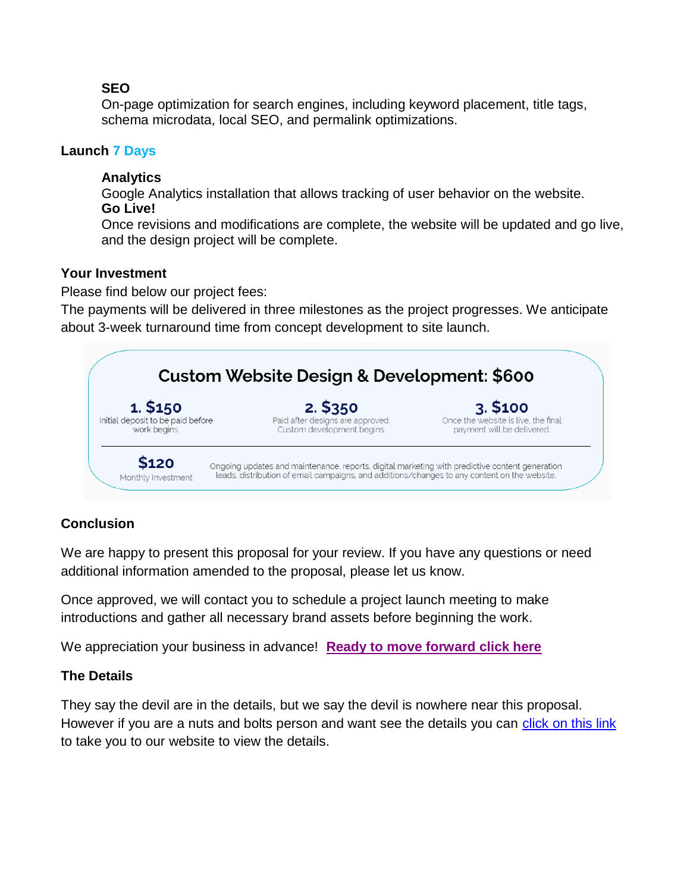## **SEO**

On-page optimization for search engines, including keyword placement, title tags, schema microdata, local SEO, and permalink optimizations.

## **Launch 7 Days**

## **Analytics**

Google Analytics installation that allows tracking of user behavior on the website. **Go Live!** 

Once revisions and modifications are complete, the website will be updated and go live, and the design project will be complete.

## **Your Investment**

Please find below our project fees:

The payments will be delivered in three milestones as the project progresses. We anticipate about 3-week turnaround time from concept development to site launch.



# **Conclusion**

We are happy to present this proposal for your review. If you have any questions or need additional information amended to the proposal, please let us know.

Once approved, we will contact you to schedule a project launch meeting to make introductions and gather all necessary brand assets before beginning the work.

We appreciation your business in advance! **[Ready to move forward click here](#page-4-0)**

## **The Details**

They say the devil are in the details, but we say the devil is nowhere near this proposal. However if you are a nuts and bolts person and want see the details you can [click on this link](http://www.arandvideo.net/) to take you to our website to view the details.